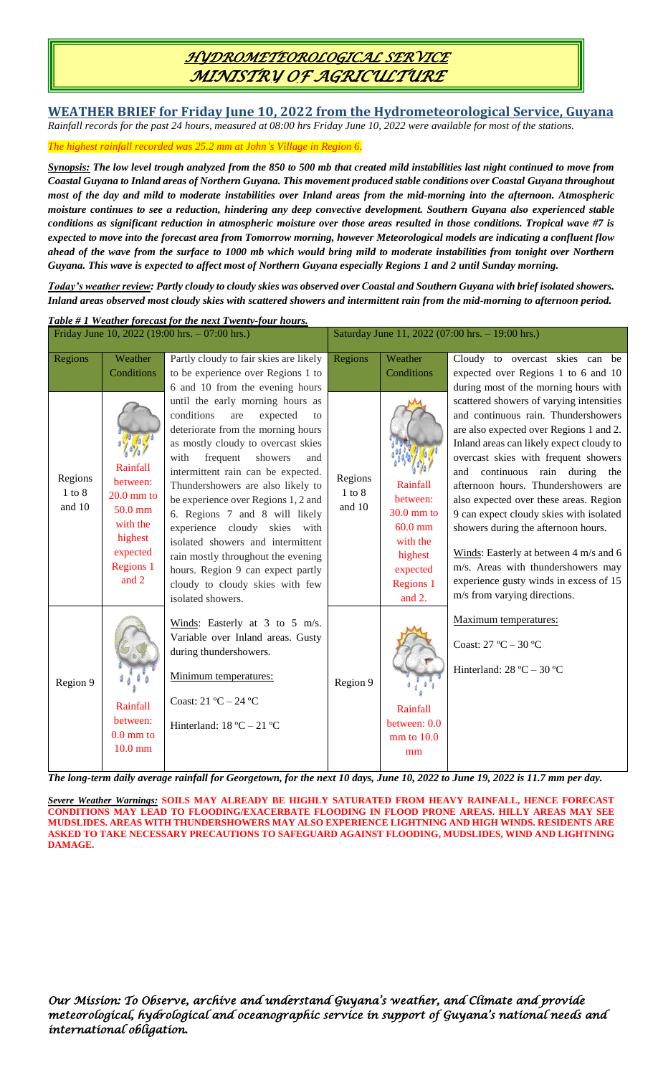# *HYDROMETEOROLOGICAL SERVICE MINISTRY OF AGRICULTURE*

**WEATHER BRIEF for Friday June 10, 2022 from the Hydrometeorological Service, Guyana** *Rainfall records for the past 24 hours, measured at 08:00 hrs Friday June 10, 2022 were available for most of the stations.*

*The highest rainfall recorded was 25.2 mm at John's Village in Region 6.*

*Synopsis: The low level trough analyzed from the 850 to 500 mb that created mild instabilities last night continued to move from Coastal Guyana to Inland areas of Northern Guyana. This movement produced stable conditions over Coastal Guyana throughout most of the day and mild to moderate instabilities over Inland areas from the mid-morning into the afternoon. Atmospheric moisture continues to see a reduction, hindering any deep convective development. Southern Guyana also experienced stable conditions as significant reduction in atmospheric moisture over those areas resulted in those conditions. Tropical wave #7 is expected to move into the forecast area from Tomorrow morning, however Meteorological models are indicating a confluent flow ahead of the wave from the surface to 1000 mb which would bring mild to moderate instabilities from tonight over Northern Guyana. This wave is expected to affect most of Northern Guyana especially Regions 1 and 2 until Sunday morning.* 

*Today's weather review: Partly cloudy to cloudy skies was observed over Coastal and Southern Guyana with brief isolated showers. Inland areas observed most cloudy skies with scattered showers and intermittent rain from the mid-morning to afternoon period.*

| Table #1 Weather forecast for the next Twenty-four hours. |                                                                                                          |                                                                                                                                                                                                                                                                                                                                                                                                                                                                                                                                                       |                                                  |                                                                                                             |                                                                                                                                                                                                                                                                                                                                                                                                                                                                                                                                                                                  |  |  |  |
|-----------------------------------------------------------|----------------------------------------------------------------------------------------------------------|-------------------------------------------------------------------------------------------------------------------------------------------------------------------------------------------------------------------------------------------------------------------------------------------------------------------------------------------------------------------------------------------------------------------------------------------------------------------------------------------------------------------------------------------------------|--------------------------------------------------|-------------------------------------------------------------------------------------------------------------|----------------------------------------------------------------------------------------------------------------------------------------------------------------------------------------------------------------------------------------------------------------------------------------------------------------------------------------------------------------------------------------------------------------------------------------------------------------------------------------------------------------------------------------------------------------------------------|--|--|--|
| Friday June 10, 2022 (19:00 hrs. $-07:00$ hrs.)           |                                                                                                          |                                                                                                                                                                                                                                                                                                                                                                                                                                                                                                                                                       | Saturday June 11, 2022 (07:00 hrs. - 19:00 hrs.) |                                                                                                             |                                                                                                                                                                                                                                                                                                                                                                                                                                                                                                                                                                                  |  |  |  |
| Regions                                                   | Weather<br>Conditions                                                                                    | Partly cloudy to fair skies are likely<br>to be experience over Regions 1 to<br>6 and 10 from the evening hours                                                                                                                                                                                                                                                                                                                                                                                                                                       | Regions                                          | Weather<br>Conditions                                                                                       | Cloudy to overcast skies can be<br>expected over Regions 1 to 6 and 10<br>during most of the morning hours with                                                                                                                                                                                                                                                                                                                                                                                                                                                                  |  |  |  |
| Regions<br>$1$ to $8$<br>and 10                           | Rainfall<br>between:<br>$20.0$ mm to<br>50.0 mm<br>with the<br>highest<br>expected<br>Regions 1<br>and 2 | until the early morning hours as<br>conditions<br>expected<br>are<br>to<br>deteriorate from the morning hours<br>as mostly cloudy to overcast skies<br>with<br>frequent<br>showers<br>and<br>intermittent rain can be expected.<br>Thundershowers are also likely to<br>be experience over Regions 1, 2 and<br>6. Regions 7 and 8 will likely<br>experience cloudy skies with<br>isolated showers and intermittent<br>rain mostly throughout the evening<br>hours. Region 9 can expect partly<br>cloudy to cloudy skies with few<br>isolated showers. | Regions<br>$1$ to $8$<br>and 10                  | Rainfall<br>between:<br>$30.0$ mm to<br>$60.0$ mm<br>with the<br>highest<br>expected<br>Regions 1<br>and 2. | scattered showers of varying intensities<br>and continuous rain. Thundershowers<br>are also expected over Regions 1 and 2.<br>Inland areas can likely expect cloudy to<br>overcast skies with frequent showers<br>continuous rain during the<br>and<br>afternoon hours. Thundershowers are<br>also expected over these areas. Region<br>9 can expect cloudy skies with isolated<br>showers during the afternoon hours.<br>Winds: Easterly at between 4 m/s and 6<br>m/s. Areas with thundershowers may<br>experience gusty winds in excess of 15<br>m/s from varying directions. |  |  |  |
| Region 9                                                  | Rainfall<br>between:<br>$0.0 \text{ mm}$ to<br>$10.0$ mm                                                 | Winds: Easterly at 3 to 5 m/s.<br>Variable over Inland areas. Gusty<br>during thundershowers.<br>Minimum temperatures:<br>Coast: 21 °C - 24 °C<br>Hinterland: $18 °C - 21 °C$                                                                                                                                                                                                                                                                                                                                                                         | Region 9                                         | Rainfall<br>between: 0.0<br>$mm$ to $10.0$<br>mm                                                            | Maximum temperatures:<br>Coast: $27 °C - 30 °C$<br>Hinterland: $28 °C - 30 °C$                                                                                                                                                                                                                                                                                                                                                                                                                                                                                                   |  |  |  |

*The long-term daily average rainfall for Georgetown, for the next 10 days, June 10, 2022 to June 19, 2022 is 11.7 mm per day.*

*Severe Weather Warnings:* **SOILS MAY ALREADY BE HIGHLY SATURATED FROM HEAVY RAINFALL, HENCE FORECAST CONDITIONS MAY LEAD TO FLOODING/EXACERBATE FLOODING IN FLOOD PRONE AREAS. HILLY AREAS MAY SEE MUDSLIDES. AREAS WITH THUNDERSHOWERS MAY ALSO EXPERIENCE LIGHTNING AND HIGH WINDS. RESIDENTS ARE ASKED TO TAKE NECESSARY PRECAUTIONS TO SAFEGUARD AGAINST FLOODING, MUDSLIDES, WIND AND LIGHTNING DAMAGE.**

*Our Mission: To Observe, archive and understand Guyana's weather, and Climate and provide meteorological, hydrological and oceanographic service in support of Guyana's national needs and international obligation.*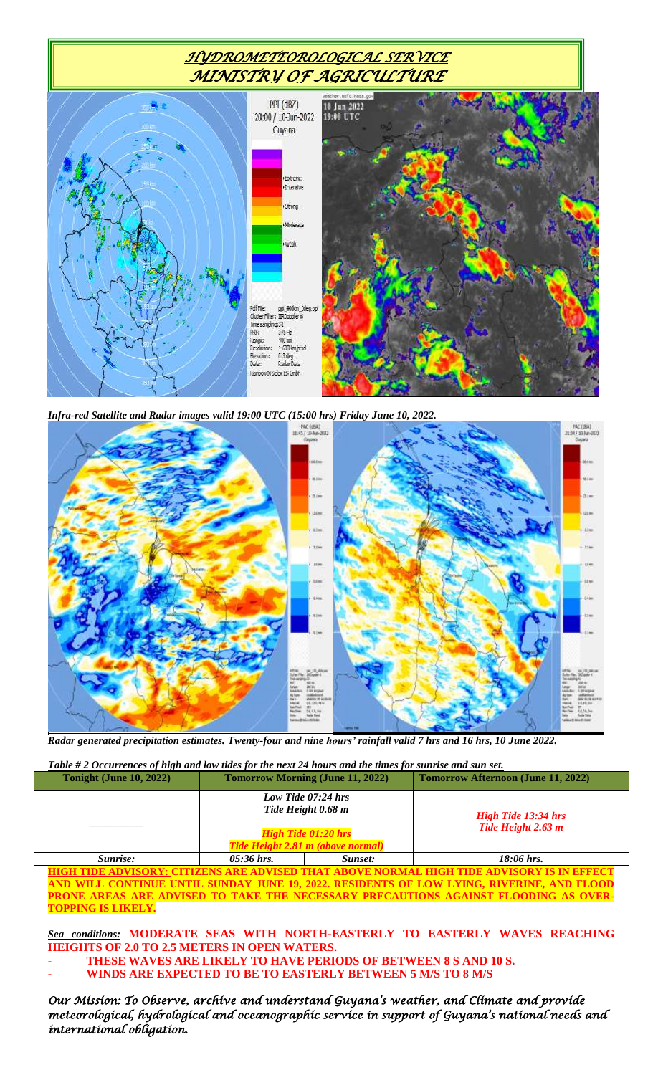# *HYDROMETEOROLOGICAL SERVICE MINISTRY OF AGRICULTURE*



*Infra-red Satellite and Radar images valid 19:00 UTC (15:00 hrs) Friday June 10, 2022.*



*Radar generated precipitation estimates. Twenty-four and nine hours' rainfall valid 7 hrs and 16 hrs, 10 June 2022.*

### *Table # 2 Occurrences of high and low tides for the next 24 hours and the times for sunrise and sun set.*

| <b>Tonight (June 10, 2022)</b>                                                                                                                                                                        | <b>Tomorrow Morning (June 11, 2022)</b> |                                                                 | <b>Tomorrow Afternoon (June 11, 2022)</b> |  |  |  |  |
|-------------------------------------------------------------------------------------------------------------------------------------------------------------------------------------------------------|-----------------------------------------|-----------------------------------------------------------------|-------------------------------------------|--|--|--|--|
|                                                                                                                                                                                                       |                                         | Low Tide 07:24 hrs<br>Tide Height 0.68 m                        | <b>High Tide 13:34 hrs</b>                |  |  |  |  |
|                                                                                                                                                                                                       |                                         | <b>High Tide 01:20 hrs</b><br>Tide Height 2.81 m (above normal) | Tide Height 2.63 m                        |  |  |  |  |
| Sunrise:                                                                                                                                                                                              | $05:36$ hrs.                            | Sunset:                                                         | $18:06$ hrs.                              |  |  |  |  |
| <u>HIGH TIDE ADVISORY: CITIZENS ARE ADVISED THAT ABOVE NORMAL HIGH TIDE ADVISORY IS IN EFFECT</u><br><u>AND WILL CONTINUE UNTIL SUNDAY JUNE 19, 2022. RESIDENTS OF LOW LYING, RIVERINE, AND FLOOD</u> |                                         |                                                                 |                                           |  |  |  |  |

**PRONE AREAS ARE ADVISED TO TAKE THE NECESSARY PRECAUTIONS AGAINST FLOODING AS OVER-TOPPING IS LIKELY.**

#### *Sea conditions:* **MODERATE SEAS WITH NORTH-EASTERLY TO EASTERLY WAVES REACHING HEIGHTS OF 2.0 TO 2.5 METERS IN OPEN WATERS.**

**- THESE WAVES ARE LIKELY TO HAVE PERIODS OF BETWEEN 8 S AND 10 S. - WINDS ARE EXPECTED TO BE TO EASTERLY BETWEEN 5 M/S TO 8 M/S**

*Our Mission: To Observe, archive and understand Guyana's weather, and Climate and provide meteorological, hydrological and oceanographic service in support of Guyana's national needs and international obligation.*